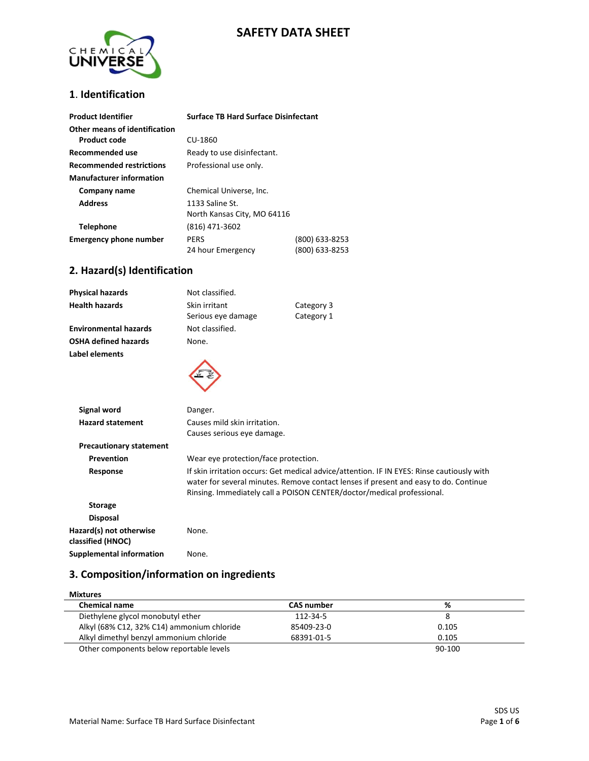# **SAFETY DATA SHEET**



#### **1**. **Identification**

| <b>Product Identifier</b>       | <b>Surface TB Hard Surface Disinfectant</b> |                |
|---------------------------------|---------------------------------------------|----------------|
| Other means of identification   |                                             |                |
| Product code                    | CU-1860                                     |                |
| Recommended use                 | Ready to use disinfectant.                  |                |
| <b>Recommended restrictions</b> | Professional use only.                      |                |
| <b>Manufacturer information</b> |                                             |                |
| Company name                    | Chemical Universe, Inc.                     |                |
| <b>Address</b>                  | 1133 Saline St.                             |                |
|                                 | North Kansas City, MO 64116                 |                |
| <b>Telephone</b>                | (816) 471-3602                              |                |
| <b>Emergency phone number</b>   | <b>PERS</b>                                 | (800) 633-8253 |
|                                 | 24 hour Emergency                           | (800) 633-8253 |

### **2. Hazard(s) Identification**

| <b>Physical hazards</b>        | Not classified.                                            |                                                                                                                                                                                                                                                              |
|--------------------------------|------------------------------------------------------------|--------------------------------------------------------------------------------------------------------------------------------------------------------------------------------------------------------------------------------------------------------------|
| <b>Health hazards</b>          | Skin irritant                                              | Category 3                                                                                                                                                                                                                                                   |
|                                | Serious eye damage                                         | Category 1                                                                                                                                                                                                                                                   |
| <b>Environmental hazards</b>   | Not classified.                                            |                                                                                                                                                                                                                                                              |
| <b>OSHA defined hazards</b>    | None.                                                      |                                                                                                                                                                                                                                                              |
| Label elements                 |                                                            |                                                                                                                                                                                                                                                              |
| Signal word                    | Danger.                                                    |                                                                                                                                                                                                                                                              |
| <b>Hazard statement</b>        | Causes mild skin irritation.<br>Causes serious eye damage. |                                                                                                                                                                                                                                                              |
| <b>Precautionary statement</b> |                                                            |                                                                                                                                                                                                                                                              |
| Prevention                     | Wear eye protection/face protection.                       |                                                                                                                                                                                                                                                              |
| Response                       |                                                            | If skin irritation occurs: Get medical advice/attention. IF IN EYES: Rinse cautiously with<br>water for several minutes. Remove contact lenses if present and easy to do. Continue<br>Rinsing. Immediately call a POISON CENTER/doctor/medical professional. |
| <b>Storage</b>                 |                                                            |                                                                                                                                                                                                                                                              |
|                                |                                                            |                                                                                                                                                                                                                                                              |

 **Disposal Hazard(s) not otherwise classified (HNOC)** None. **Supplemental information** None.

### **3. Composition/information on ingredients**

| <b>Mixtures</b>                            |                   |        |
|--------------------------------------------|-------------------|--------|
| <b>Chemical name</b>                       | <b>CAS number</b> | %      |
| Diethylene glycol monobutyl ether          | 112-34-5          | 8      |
| Alkyl (68% C12, 32% C14) ammonium chloride | 85409-23-0        | 0.105  |
| Alkyl dimethyl benzyl ammonium chloride    | 68391-01-5        | 0.105  |
| Other components below reportable levels   |                   | 90-100 |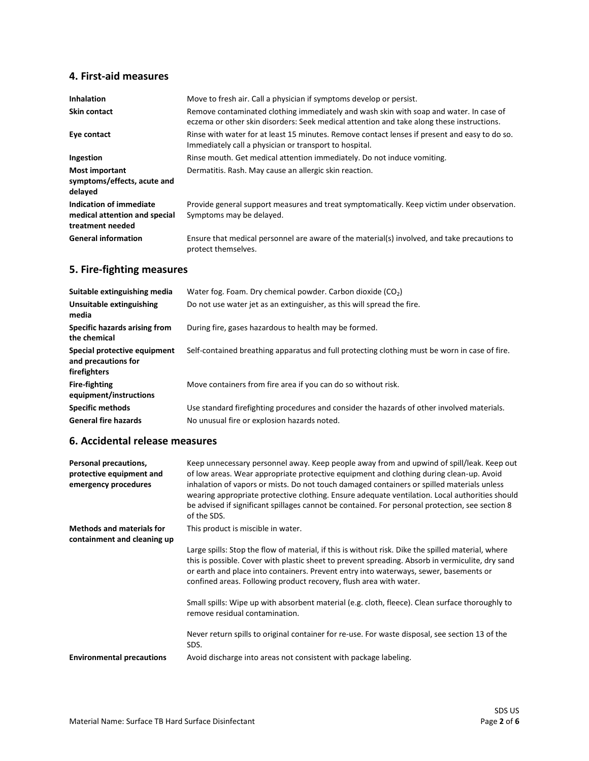# **4. First-aid measures**

| <b>Inhalation</b>                                                            | Move to fresh air. Call a physician if symptoms develop or persist.                                                                                                                 |
|------------------------------------------------------------------------------|-------------------------------------------------------------------------------------------------------------------------------------------------------------------------------------|
| <b>Skin contact</b>                                                          | Remove contaminated clothing immediately and wash skin with soap and water. In case of<br>eczema or other skin disorders: Seek medical attention and take along these instructions. |
| Eye contact                                                                  | Rinse with water for at least 15 minutes. Remove contact lenses if present and easy to do so.<br>Immediately call a physician or transport to hospital.                             |
| Ingestion                                                                    | Rinse mouth. Get medical attention immediately. Do not induce vomiting.                                                                                                             |
| <b>Most important</b><br>symptoms/effects, acute and<br>delayed              | Dermatitis. Rash. May cause an allergic skin reaction.                                                                                                                              |
| Indication of immediate<br>medical attention and special<br>treatment needed | Provide general support measures and treat symptomatically. Keep victim under observation.<br>Symptoms may be delayed.                                                              |
| <b>General information</b>                                                   | Ensure that medical personnel are aware of the material(s) involved, and take precautions to<br>protect themselves.                                                                 |

# **5. Fire-fighting measures**

| Suitable extinguishing media                                        | Water fog. Foam. Dry chemical powder. Carbon dioxide $(CO2)$                                                                              |
|---------------------------------------------------------------------|-------------------------------------------------------------------------------------------------------------------------------------------|
| Unsuitable extinguishing<br>media                                   | Do not use water jet as an extinguisher, as this will spread the fire.                                                                    |
| Specific hazards arising from<br>the chemical                       | During fire, gases hazardous to health may be formed.                                                                                     |
| Special protective equipment<br>and precautions for<br>firefighters | Self-contained breathing apparatus and full protecting clothing must be worn in case of fire.                                             |
| <b>Fire-fighting</b><br>equipment/instructions                      | Move containers from fire area if you can do so without risk.                                                                             |
| <b>Specific methods</b><br><b>General fire hazards</b>              | Use standard firefighting procedures and consider the hazards of other involved materials.<br>No unusual fire or explosion hazards noted. |

### **6. Accidental release measures**

| Personal precautions,<br>protective equipment and<br>emergency procedures | Keep unnecessary personnel away. Keep people away from and upwind of spill/leak. Keep out<br>of low areas. Wear appropriate protective equipment and clothing during clean-up. Avoid<br>inhalation of vapors or mists. Do not touch damaged containers or spilled materials unless<br>wearing appropriate protective clothing. Ensure adequate ventilation. Local authorities should<br>be advised if significant spillages cannot be contained. For personal protection, see section 8<br>of the SDS. |
|---------------------------------------------------------------------------|--------------------------------------------------------------------------------------------------------------------------------------------------------------------------------------------------------------------------------------------------------------------------------------------------------------------------------------------------------------------------------------------------------------------------------------------------------------------------------------------------------|
| <b>Methods and materials for</b><br>containment and cleaning up           | This product is miscible in water.                                                                                                                                                                                                                                                                                                                                                                                                                                                                     |
|                                                                           | Large spills: Stop the flow of material, if this is without risk. Dike the spilled material, where<br>this is possible. Cover with plastic sheet to prevent spreading. Absorb in vermiculite, dry sand<br>or earth and place into containers. Prevent entry into waterways, sewer, basements or<br>confined areas. Following product recovery, flush area with water.                                                                                                                                  |
|                                                                           | Small spills: Wipe up with absorbent material (e.g. cloth, fleece). Clean surface thoroughly to<br>remove residual contamination.                                                                                                                                                                                                                                                                                                                                                                      |
|                                                                           | Never return spills to original container for re-use. For waste disposal, see section 13 of the<br>SDS.                                                                                                                                                                                                                                                                                                                                                                                                |
| <b>Environmental precautions</b>                                          | Avoid discharge into areas not consistent with package labeling.                                                                                                                                                                                                                                                                                                                                                                                                                                       |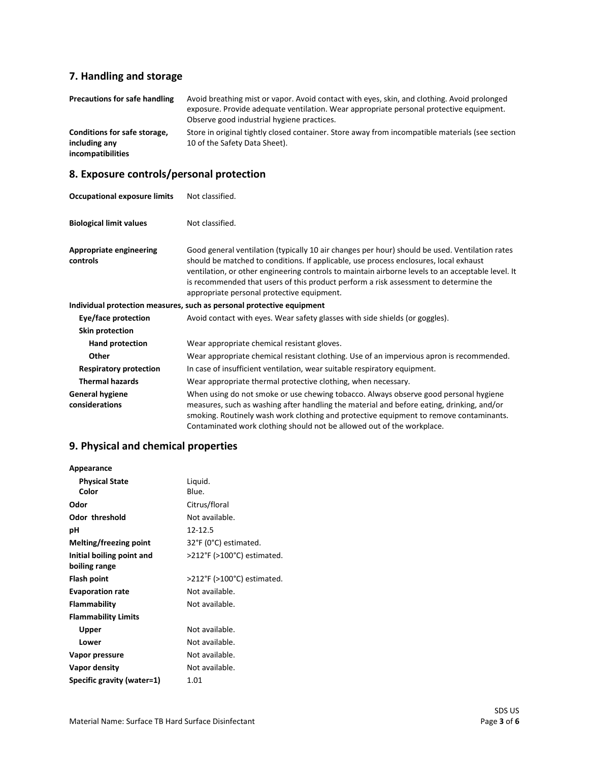# **7. Handling and storage**

| Precautions for safe handling                                      | Avoid breathing mist or vapor. Avoid contact with eyes, skin, and clothing. Avoid prolonged<br>exposure. Provide adequate ventilation. Wear appropriate personal protective equipment.<br>Observe good industrial hygiene practices. |
|--------------------------------------------------------------------|--------------------------------------------------------------------------------------------------------------------------------------------------------------------------------------------------------------------------------------|
| Conditions for safe storage,<br>including any<br>incompatibilities | Store in original tightly closed container. Store away from incompatible materials (see section<br>10 of the Safety Data Sheet).                                                                                                     |

# **8. Exposure controls/personal protection**

| <b>Occupational exposure limits</b>      | Not classified.                                                                                                                                                                                                                                                                                                                                                                                                                    |
|------------------------------------------|------------------------------------------------------------------------------------------------------------------------------------------------------------------------------------------------------------------------------------------------------------------------------------------------------------------------------------------------------------------------------------------------------------------------------------|
| <b>Biological limit values</b>           | Not classified.                                                                                                                                                                                                                                                                                                                                                                                                                    |
| Appropriate engineering<br>controls      | Good general ventilation (typically 10 air changes per hour) should be used. Ventilation rates<br>should be matched to conditions. If applicable, use process enclosures, local exhaust<br>ventilation, or other engineering controls to maintain airborne levels to an acceptable level. It<br>is recommended that users of this product perform a risk assessment to determine the<br>appropriate personal protective equipment. |
|                                          | Individual protection measures, such as personal protective equipment                                                                                                                                                                                                                                                                                                                                                              |
| Eye/face protection                      | Avoid contact with eyes. Wear safety glasses with side shields (or goggles).                                                                                                                                                                                                                                                                                                                                                       |
| <b>Skin protection</b>                   |                                                                                                                                                                                                                                                                                                                                                                                                                                    |
| Hand protection                          | Wear appropriate chemical resistant gloves.                                                                                                                                                                                                                                                                                                                                                                                        |
| Other                                    | Wear appropriate chemical resistant clothing. Use of an impervious apron is recommended.                                                                                                                                                                                                                                                                                                                                           |
| <b>Respiratory protection</b>            | In case of insufficient ventilation, wear suitable respiratory equipment.                                                                                                                                                                                                                                                                                                                                                          |
| <b>Thermal hazards</b>                   | Wear appropriate thermal protective clothing, when necessary.                                                                                                                                                                                                                                                                                                                                                                      |
| <b>General hygiene</b><br>considerations | When using do not smoke or use chewing tobacco. Always observe good personal hygiene<br>measures, such as washing after handling the material and before eating, drinking, and/or<br>smoking. Routinely wash work clothing and protective equipment to remove contaminants.<br>Contaminated work clothing should not be allowed out of the workplace.                                                                              |

# **9. Physical and chemical properties**

| Appearance                 |                            |
|----------------------------|----------------------------|
| <b>Physical State</b>      | Liquid.                    |
| Color                      | Blue.                      |
| Odor                       | Citrus/floral              |
| Odor threshold             | Not available.             |
| рH                         | 12-12.5                    |
| Melting/freezing point     | 32°F (0°C) estimated.      |
| Initial boiling point and  | >212°F (>100°C) estimated. |
| boiling range              |                            |
| Flash point                | >212°F (>100°C) estimated. |
| <b>Evaporation rate</b>    | Not available.             |
| Flammability               | Not available.             |
| <b>Flammability Limits</b> |                            |
| Upper                      | Not available.             |
| Lower                      | Not available.             |
| Vapor pressure             | Not available.             |
| Vapor density              | Not available.             |
| Specific gravity (water=1) | 1.01                       |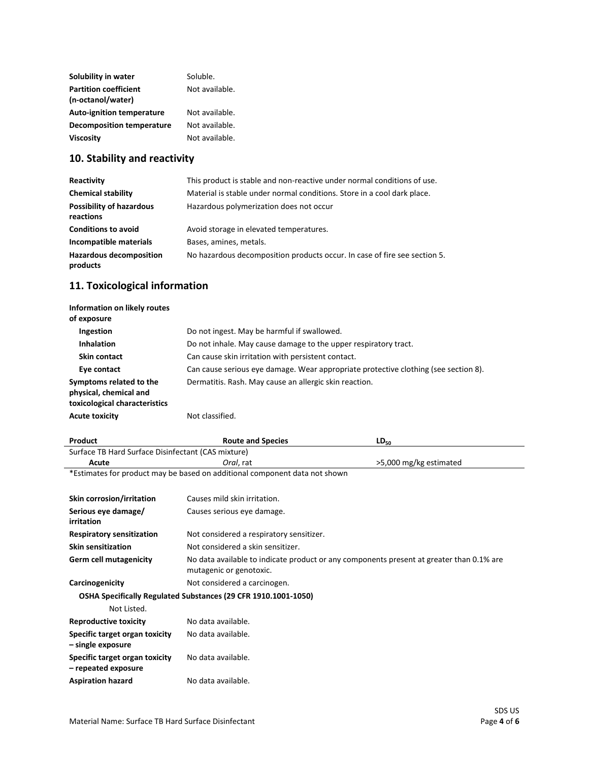| Solubility in water              | Soluble.       |
|----------------------------------|----------------|
| <b>Partition coefficient</b>     | Not available. |
| (n-octanol/water)                |                |
| <b>Auto-ignition temperature</b> | Not available. |
| Decomposition temperature        | Not available. |
| <b>Viscosity</b>                 | Not available. |

## **10. Stability and reactivity**

| Reactivity                                   | This product is stable and non-reactive under normal conditions of use.   |
|----------------------------------------------|---------------------------------------------------------------------------|
| <b>Chemical stability</b>                    | Material is stable under normal conditions. Store in a cool dark place.   |
| <b>Possibility of hazardous</b><br>reactions | Hazardous polymerization does not occur                                   |
| <b>Conditions to avoid</b>                   | Avoid storage in elevated temperatures.                                   |
| Incompatible materials                       | Bases, amines, metals.                                                    |
| <b>Hazardous decomposition</b><br>products   | No hazardous decomposition products occur. In case of fire see section 5. |

# **11. Toxicological information**

| Information on likely routes<br>of exposure                                        |                                                                                     |
|------------------------------------------------------------------------------------|-------------------------------------------------------------------------------------|
| Ingestion                                                                          | Do not ingest. May be harmful if swallowed.                                         |
| <b>Inhalation</b>                                                                  | Do not inhale. May cause damage to the upper respiratory tract.                     |
| Skin contact                                                                       | Can cause skin irritation with persistent contact.                                  |
| Eye contact                                                                        | Can cause serious eye damage. Wear appropriate protective clothing (see section 8). |
| Symptoms related to the<br>physical, chemical and<br>toxicological characteristics | Dermatitis. Rash. May cause an allergic skin reaction.                              |
| <b>Acute toxicity</b>                                                              | Not classified.                                                                     |

| Product                                                                    | <b>Route and Species</b>                                                                 | $LD_{50}$              |  |  |
|----------------------------------------------------------------------------|------------------------------------------------------------------------------------------|------------------------|--|--|
| Surface TB Hard Surface Disinfectant (CAS mixture)                         |                                                                                          |                        |  |  |
| Acute                                                                      | Oral, rat                                                                                | >5,000 mg/kg estimated |  |  |
| *Estimates for product may be based on additional component data not shown |                                                                                          |                        |  |  |
|                                                                            |                                                                                          |                        |  |  |
| Skin corrosion/irritation                                                  | Causes mild skin irritation.                                                             |                        |  |  |
| Serious eye damage/                                                        | Causes serious eye damage.                                                               |                        |  |  |
| irritation                                                                 |                                                                                          |                        |  |  |
| <b>Respiratory sensitization</b>                                           | Not considered a respiratory sensitizer.                                                 |                        |  |  |
| <b>Skin sensitization</b>                                                  | Not considered a skin sensitizer.                                                        |                        |  |  |
| Germ cell mutagenicity                                                     | No data available to indicate product or any components present at greater than 0.1% are |                        |  |  |
|                                                                            | mutagenic or genotoxic.                                                                  |                        |  |  |
| Carcinogenicity                                                            | Not considered a carcinogen.                                                             |                        |  |  |
| OSHA Specifically Regulated Substances (29 CFR 1910.1001-1050)             |                                                                                          |                        |  |  |
| Not Listed.                                                                |                                                                                          |                        |  |  |
| <b>Reproductive toxicity</b>                                               | No data available.                                                                       |                        |  |  |
| Specific target organ toxicity                                             | No data available.                                                                       |                        |  |  |
| - single exposure                                                          |                                                                                          |                        |  |  |
| Specific target organ toxicity                                             | No data available.                                                                       |                        |  |  |

Aspiration hazard **No data available**.

**– repeated exposure**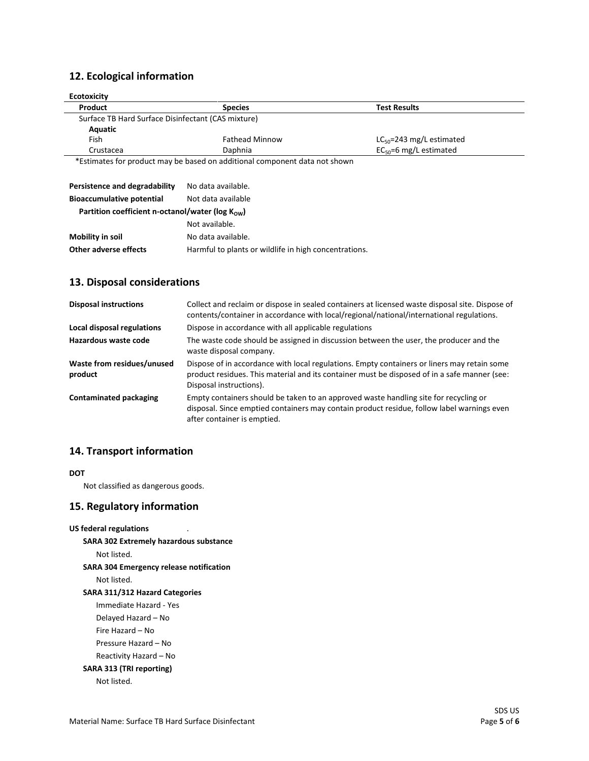## **12. Ecological information**

| <b>Ecotoxicity</b>                                 |                                                                            |                               |
|----------------------------------------------------|----------------------------------------------------------------------------|-------------------------------|
| Product                                            | <b>Species</b>                                                             | <b>Test Results</b>           |
| Surface TB Hard Surface Disinfectant (CAS mixture) |                                                                            |                               |
| Aquatic                                            |                                                                            |                               |
| Fish                                               | <b>Fathead Minnow</b>                                                      | $LC_{50}$ =243 mg/L estimated |
| Crustacea                                          | Daphnia                                                                    | $EC_{50} = 6$ mg/L estimated  |
|                                                    | *Ectimates for product may be based on additional component data not shown |                               |

\*Estimates for product may be based on additional component data not shown

| Persistence and degradability                                 | No data available.                                    |  |
|---------------------------------------------------------------|-------------------------------------------------------|--|
| <b>Bioaccumulative potential</b>                              | Not data available                                    |  |
| Partition coefficient n-octanol/water ( $log K_{\text{OW}}$ ) |                                                       |  |
|                                                               | Not available.                                        |  |
| <b>Mobility in soil</b>                                       | No data available.                                    |  |
| Other adverse effects                                         | Harmful to plants or wildlife in high concentrations. |  |

#### **13. Disposal considerations**

| <b>Disposal instructions</b>          | Collect and reclaim or dispose in sealed containers at licensed waste disposal site. Dispose of<br>contents/container in accordance with local/regional/national/international regulations.                            |
|---------------------------------------|------------------------------------------------------------------------------------------------------------------------------------------------------------------------------------------------------------------------|
| Local disposal regulations            | Dispose in accordance with all applicable regulations                                                                                                                                                                  |
| Hazardous waste code                  | The waste code should be assigned in discussion between the user, the producer and the<br>waste disposal company.                                                                                                      |
| Waste from residues/unused<br>product | Dispose of in accordance with local regulations. Empty containers or liners may retain some<br>product residues. This material and its container must be disposed of in a safe manner (see:<br>Disposal instructions). |
| Contaminated packaging                | Empty containers should be taken to an approved waste handling site for recycling or<br>disposal. Since emptied containers may contain product residue, follow label warnings even<br>after container is emptied.      |

### **14. Transport information**

#### **DOT**

Not classified as dangerous goods.

#### **15. Regulatory information**

```
US federal regulations
SARA 302 Extremely hazardous substance
    Not listed.
SARA 304 Emergency release notification
    Not listed.
SARA 311/312 Hazard Categories
    Immediate Hazard - Yes
    Delayed Hazard – No
    Fire Hazard – No
    Pressure Hazard – No
    Reactivity Hazard – No 
SARA 313 (TRI reporting)
```
Not listed.